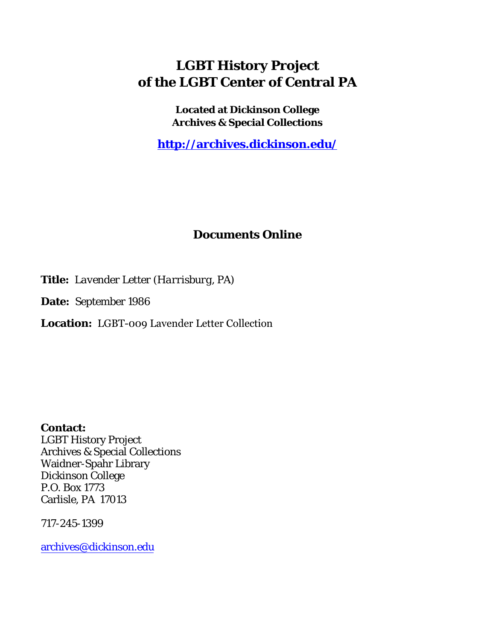## **LGBT History Project of the LGBT Center of Central PA**

**Located at Dickinson College Archives & Special Collections**

**<http://archives.dickinson.edu/>**

## **Documents Online**

**Title:** *Lavender Letter (Harrisburg, PA)*

**Date:** September 1986

**Location:** LGBT-009 Lavender Letter Collection

**Contact:**  LGBT History Project Archives & Special Collections Waidner-Spahr Library Dickinson College P.O. Box 1773 Carlisle, PA 17013

717-245-1399

[archives@dickinson.edu](mailto:archives@dickinson.edu)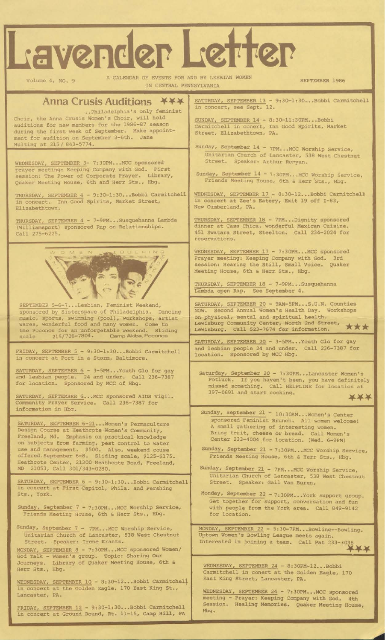## Lavender Letter

Volume 4, NO. 9

A CALENDAR OF EVENTS FOR AND BY LESBIAN WOME IN CENTRAL PENNSYLVANIA

SEPTEMBER 1986

Anna Crusis Auditions **XXX** ..Philadelphia's only feminist Choir, the Anna Crusis Women's Choir, will hold auditions for new members for the 1986-87 season during the first week of September. Make appointment for audition on September 3-6th. Jane Huiting at 215/ 843-5774.

WEDNESDAY, SEPTEMBER 3- 7:30PM...MCC sponsored First Corporate Prayer. Library, 6th and Herr Sts., Hbg. prayer meeting: Keeping Company with God session: The Power of Quaker Meeting House,

THURSDAY, SEPTEMBER 4 - 9:30-1:30...Bobbi Carmitchell in concert. Inn Good Spirits, Market Street, Elizabethtown.

\_\_\_\_\_\_\_\_\_\_\_\_\_\_\_\_\_\_\_\_\_\_ THURSDAY, SEPTEMBER <sup>4</sup> 7-9PM...Susquehanna Lambda (Williamsport) sponsored Rap on Relationships. Call 275-6225.



SEPTEMBER 5-6-7...Lesbian, Feminist Weekend, sponsored by Sisterspace of Philadelphia. Dancing music, sports, swimming (pool), workshops, artist wares, wonderful food and many women. Come to the Poconos for an unforgetable weekend. Sliding scale 215/726-7804. Cemp Akibe, Poconos

FRIDAY, SEPTEMBER 5 in concert at Port in 9:30-1:30 a Bobbi Carmitchell Storm, Baltimore.

SATURDAY, SEPTEMBER 6 and lesbian people. 24 for location 3-5PM...Youth Gio for gay and Sponsored by under. Call 236-7387 MCC of Hbg.

SATURDAY, SEPTEMBER 6...MCC Community Prayer Service. ( information in Hbg. : sponsored AIDS Vigil Call 236-7387 for

SATURDAY, SEPTEMBER 6—21...Women's Permaculture Design Course at Heathcote Women's Community, Freeland, Md. Emphasis on practical knowledge on subjects from farming, pest control to water use and management. \$500. Also, weekend couse offered.September 6-8. Sliding scale, \$125-\$175. Heathcote Center, 21300 Heathcote Road, Freeland, MD 21053, Call 301/343-0280.

SATURDAY, SEPTEMBER 6 - 9:30-1:30...Bobbi Carmitchell in concert at First Capitol, Phila. and Pershing Sts., York.

Sunday, September 7 - 7:30PM\_\_ MCC Worship Service, Friends Meeting House, 6th & Herr Sts., Hbg.

Sunday, September 7 - 7PM...MCC Worship Service, Unitarian Church of Lancaster, 538 West Chestnut Street. Speaker: Irene Krantz.

MONDAY, SEPTEMBER 8 - 7:30PM...MCC sponsored Women/ Topic: Sharing Our Library of Quaker Meeting House, 6th & Hbg. God Talk - Women's group Journeys. Herr Sts.,

\_\_\_\_\_\_\_\_\_\_\_ WEDNESDAY, SEPTEMBER 10 - 8:30-12.. .Bobbi Carmitchel]. in concert at the Golden Eagle, 170 East King St., Lancaster, PA.

FRIDAY, SEPTEMBER 12 - 9:30-1:30...Bobbi Carmitchell in concert at Ground Round, Rt. 11-15, Camp Hill, PA SATURDAY, SEPTEMBER 13 - 9:30-1:30...Bobbi Carmitchell in concert, see Sept. 12.

SUNDAY, SEPTEMBER 14 - 8:30-11:3 0PM...Bobbi Carmitchell in conert. Street, Elizabethtown, Inn Good Spirits, Market PA.

Sunday, September 14 - 7PM...MCC Worship Service, Unitarian Church of Street. Lancaster, 538 West Chestnut Speaker: Arthur Rvryan.

Sunday, September 14 - 7:30PM...MCC Worship Service, Friends Meeting House, 6th & Herr 'Sts., Hbg.

WEDNESDAY, SEPTEMBER 17 - 8:30-12...Bobbi Carmitchell in concert at Zee's Eatery, Exit 19 off 1-83, New Cumberland, PA.

THURSDAY, SEPTEMBER 18 - 7PM...Dignity sponsored dinner at Casa Chica, wonderful Mexican Cuisine. 451 Swatara Street, Steelton. Call 234-2024 for reservations.

WEDNESDAY, SEPTEMBER 17 - 7:30PM...MCC sponsored Prayer meeting: Keeping Company with God. 3rd session: Hearing the Still, Small Voice. Quaker Meeting House, 6th & Herr Sts., Hbg.

lambda open Rap. See September 4.

SATURDAY, SEPTEMBER 20 - 9AM-5PM...S.U.N. Counties NOW. Second Annual Women's Health Day. on physical, mental and spiritual health. Lewisburg Community Center, North 2nd Street, ... Lewisburg. Call 523-7674 for information.

SATURDAY. SEPTEMBER 20 - 3-5PM...Youth Gio for gay and lesbian people 24 and under. Call 236-7387 for location. Sponsored by MCC Hbg.

Saturday, September 20 - 7:30PM...Lancaster Women's Potluck. If you haven't been, you have definitely missed something. Call HELPLINE for location at 397-0691 and start cooking **\*\*\*** 

Sunday, September 21 - 10:30AM...Women's Center sponsored Feminist Brunch. All women welcome! A small gathering of interesting women. Bring fruit, cheese or bread. Call Women's Center 233-4004 for location. (Wed. 6-9PM)

Sunday, September 21 - 7:30PM...MCC Worship Service, Friends Meeting House, 6th & Herr Sts., Hbg.

Sunday, September 21 - 7PM...MCC Worship Service, Unitarian Church of Lancaster, 538 West Chestnut Street. Speaker: Gail Van Buren.

Monday, September 22 - 7:30PM...York support group. Get together for support, conversation and fun with people from the York area. Call 848-9142 for location.

MONDAY, SEPTEMBER <sup>22</sup> — 5:30—7PM.•.Bowling—Bowling. Uptown Women's Bowling League meets again. Interested in joining a team. Call Pat 233-3035

WEDNESDAY, SEPTEMBER 24 - 8:30PM-12...Bobbi Carmitchell in conert at the Golden Eagle, 170 East King Street, Lancaster, PA.

WEDNESDAY, SEPTEMBER 24 - 7:30PM...MCC sponsored meeting - Prayer: Keeping Company with God. 4th Session. Healing Memories. Quaker Meeting House, Hbg.